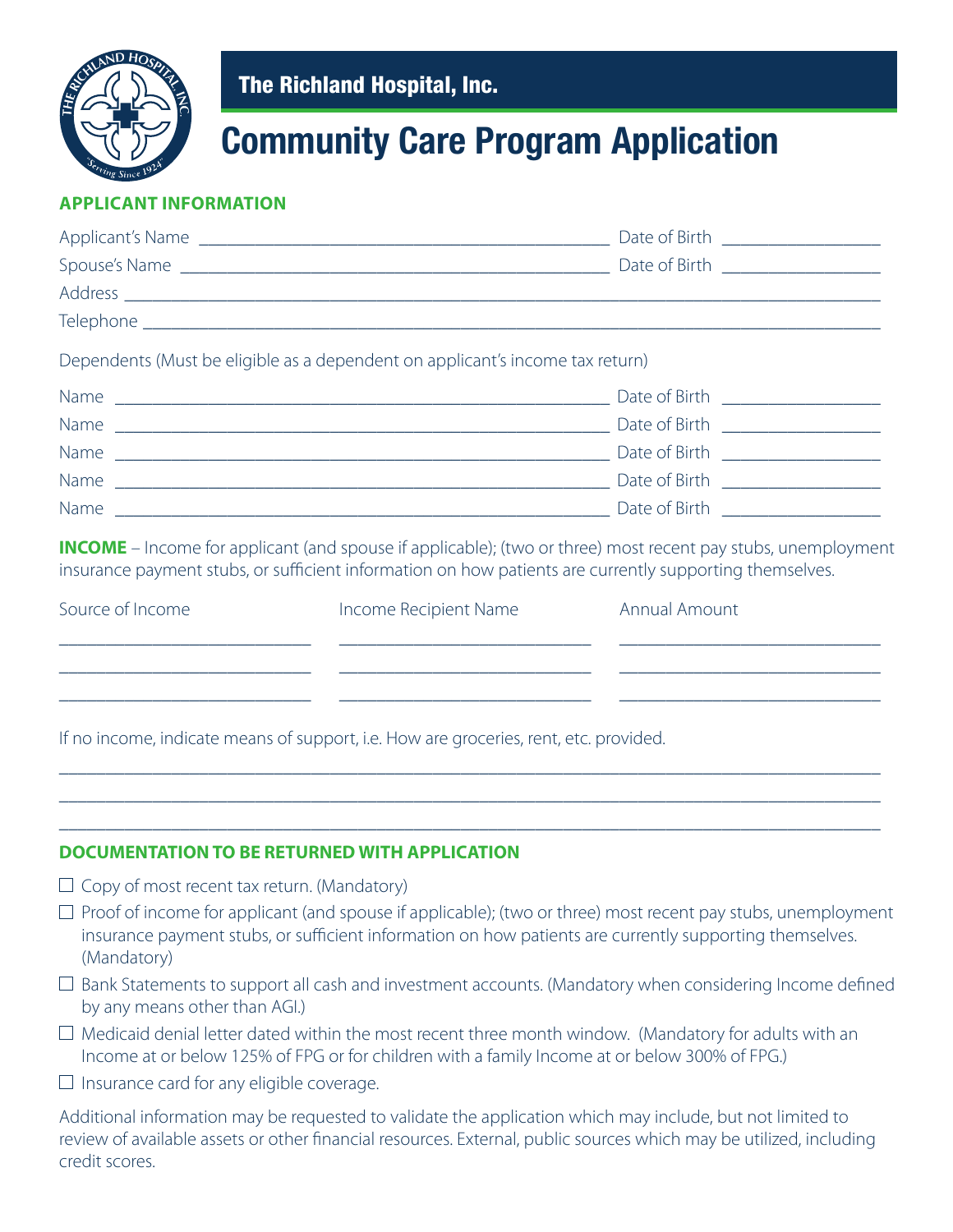

The Richland Hospital, Inc.

## **Community Care Program Application**

## **APPLICANT INFORMATION**

|                                                                                                                                                                                                                     | Dependents (Must be eligible as a dependent on applicant's income tax return)                                                                                                                                 |                                                                                                                                                                                     |  |  |
|---------------------------------------------------------------------------------------------------------------------------------------------------------------------------------------------------------------------|---------------------------------------------------------------------------------------------------------------------------------------------------------------------------------------------------------------|-------------------------------------------------------------------------------------------------------------------------------------------------------------------------------------|--|--|
|                                                                                                                                                                                                                     |                                                                                                                                                                                                               |                                                                                                                                                                                     |  |  |
|                                                                                                                                                                                                                     |                                                                                                                                                                                                               |                                                                                                                                                                                     |  |  |
|                                                                                                                                                                                                                     |                                                                                                                                                                                                               |                                                                                                                                                                                     |  |  |
|                                                                                                                                                                                                                     |                                                                                                                                                                                                               |                                                                                                                                                                                     |  |  |
|                                                                                                                                                                                                                     |                                                                                                                                                                                                               |                                                                                                                                                                                     |  |  |
|                                                                                                                                                                                                                     | insurance payment stubs, or sufficient information on how patients are currently supporting themselves.                                                                                                       | <b>INCOME</b> – Income for applicant (and spouse if applicable); (two or three) most recent pay stubs, unemployment                                                                 |  |  |
| Source of Income                                                                                                                                                                                                    | Income Recipient Name                                                                                                                                                                                         | Annual Amount                                                                                                                                                                       |  |  |
| <u> 1989 - Johann John Harry Harry Harry Harry Harry Harry Harry Harry Harry Harry Harry Harry Harry Harry Harry H</u><br>the control of the control of the control of the control of the control of the control of | <u> 1989 - Andrea Stadt, fransk politiker (d. 1989)</u><br><u> 1989 - Johann Harry Harry Harry Harry Harry Harry Harry Harry Harry Harry Harry Harry Harry Harry Harry Harry</u>                              | <u> 1980 - Johann John Stone, mars et al. 1980 - John Stone, mars et al. 1980 - John Stone, mars et al. 1980 - John Stone</u><br><u> 1989 - Johann Barn, amerikansk politiker (</u> |  |  |
|                                                                                                                                                                                                                     | If no income, indicate means of support, i.e. How are groceries, rent, etc. provided.                                                                                                                         | ,我们也不能在这里的时候,我们也不能在这里的时候,我们也不能会在这里,我们也不能会不能会不能会不能会不能会不能会。""我们,我们也不能会不能会不能会不能会不能会<br><u> 1980 - Johann Stoff, Amerikaansk politiker (* 1980)</u>                                     |  |  |
|                                                                                                                                                                                                                     | <b>DOCUMENTATION TO BE RETURNED WITH APPLICATION</b>                                                                                                                                                          |                                                                                                                                                                                     |  |  |
| $\Box$ Copy of most recent tax return. (Mandatory)                                                                                                                                                                  |                                                                                                                                                                                                               |                                                                                                                                                                                     |  |  |
| (Mandatory)                                                                                                                                                                                                         | insurance payment stubs, or sufficient information on how patients are currently supporting themselves.                                                                                                       | $\Box$ Proof of income for applicant (and spouse if applicable); (two or three) most recent pay stubs, unemployment                                                                 |  |  |
| by any means other than AGI.)                                                                                                                                                                                       |                                                                                                                                                                                                               | $\Box$ Bank Statements to support all cash and investment accounts. (Mandatory when considering Income defined                                                                      |  |  |
|                                                                                                                                                                                                                     | $\Box$ Medicaid denial letter dated within the most recent three month window. (Mandatory for adults with an<br>Income at or below 125% of FPG or for children with a family Income at or below 300% of FPG.) |                                                                                                                                                                                     |  |  |
| $\Box$ Insurance card for any eligible coverage.                                                                                                                                                                    |                                                                                                                                                                                                               |                                                                                                                                                                                     |  |  |
|                                                                                                                                                                                                                     |                                                                                                                                                                                                               |                                                                                                                                                                                     |  |  |

Additional information may be requested to validate the application which may include, but not limited to review of available assets or other financial resources. External, public sources which may be utilized, including credit scores.